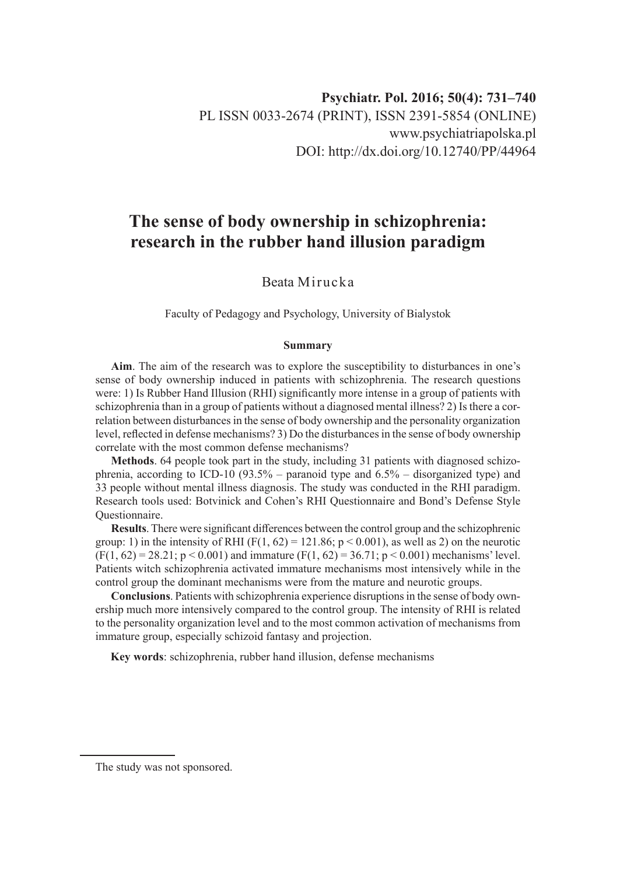# **The sense of body ownership in schizophrenia: research in the rubber hand illusion paradigm**

# Beata Mirucka

Faculty of Pedagogy and Psychology, University of Bialystok

#### **Summary**

**Aim**. The aim of the research was to explore the susceptibility to disturbances in one's sense of body ownership induced in patients with schizophrenia. The research questions were: 1) Is Rubber Hand Illusion (RHI) significantly more intense in a group of patients with schizophrenia than in a group of patients without a diagnosed mental illness? 2) Is there a correlation between disturbances in the sense of body ownership and the personality organization level, reflected in defense mechanisms? 3) Do the disturbances in the sense of body ownership correlate with the most common defense mechanisms?

**Methods**. 64 people took part in the study, including 31 patients with diagnosed schizophrenia, according to ICD-10 (93.5% – paranoid type and  $6.5%$  – disorganized type) and 33 people without mental illness diagnosis. The study was conducted in the RHI paradigm. Research tools used: Botvinick and Cohen's RHI Questionnaire and Bond's Defense Style Questionnaire.

**Results**. There were significant differences between the control group and the schizophrenic group: 1) in the intensity of RHI ( $F(1, 62) = 121.86$ ;  $p < 0.001$ ), as well as 2) on the neurotic  $(F(1, 62) = 28.21; p < 0.001)$  and immature  $(F(1, 62) = 36.71; p < 0.001)$  mechanisms' level. Patients witch schizophrenia activated immature mechanisms most intensively while in the control group the dominant mechanisms were from the mature and neurotic groups.

**Conclusions**. Patients with schizophrenia experience disruptions in the sense of body ownership much more intensively compared to the control group. The intensity of RHI is related to the personality organization level and to the most common activation of mechanisms from immature group, especially schizoid fantasy and projection.

**Key words**: schizophrenia, rubber hand illusion, defense mechanisms

The study was not sponsored.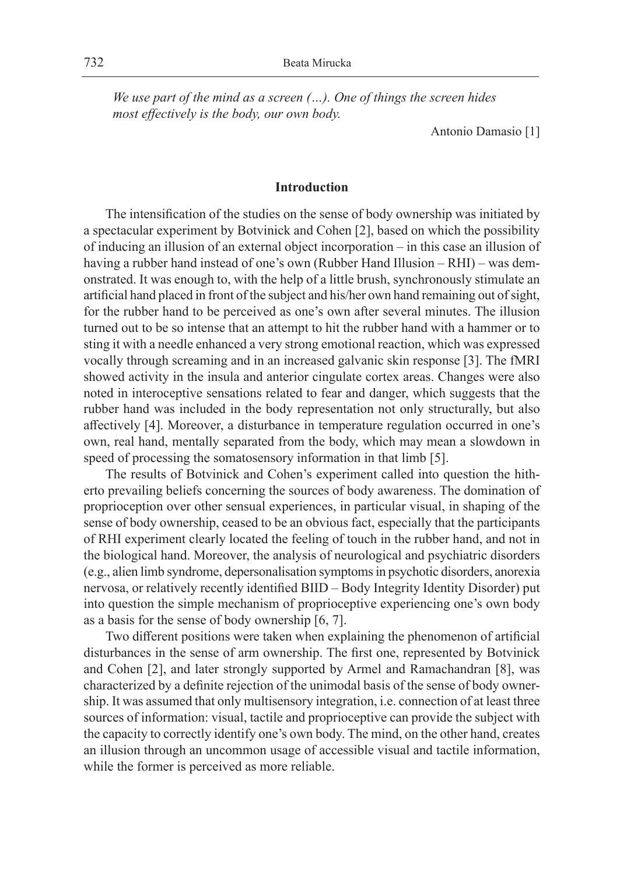*We use part of the mind as a screen (…). One of things the screen hides most effectively is the body, our own body.*

Antonio Damasio [1]

# **Introduction**

The intensification of the studies on the sense of body ownership was initiated by a spectacular experiment by Botvinick and Cohen [2], based on which the possibility of inducing an illusion of an external object incorporation – in this case an illusion of having a rubber hand instead of one's own (Rubber Hand Illusion – RHI) – was demonstrated. It was enough to, with the help of a little brush, synchronously stimulate an artificial hand placed in front of the subject and his/her own hand remaining out of sight, for the rubber hand to be perceived as one's own after several minutes. The illusion turned out to be so intense that an attempt to hit the rubber hand with a hammer or to sting it with a needle enhanced a very strong emotional reaction, which was expressed vocally through screaming and in an increased galvanic skin response [3]. The fMRI showed activity in the insula and anterior cingulate cortex areas. Changes were also noted in interoceptive sensations related to fear and danger, which suggests that the rubber hand was included in the body representation not only structurally, but also affectively [4]. Moreover, a disturbance in temperature regulation occurred in one's own, real hand, mentally separated from the body, which may mean a slowdown in speed of processing the somatosensory information in that limb [5].

The results of Botvinick and Cohen's experiment called into question the hitherto prevailing beliefs concerning the sources of body awareness. The domination of proprioception over other sensual experiences, in particular visual, in shaping of the sense of body ownership, ceased to be an obvious fact, especially that the participants of RHI experiment clearly located the feeling of touch in the rubber hand, and not in the biological hand. Moreover, the analysis of neurological and psychiatric disorders (e.g., alien limb syndrome, depersonalisation symptoms in psychotic disorders, anorexia nervosa, or relatively recently identified BIID – Body Integrity Identity Disorder) put into question the simple mechanism of proprioceptive experiencing one's own body as a basis for the sense of body ownership [6, 7].

Two different positions were taken when explaining the phenomenon of artificial disturbances in the sense of arm ownership. The first one, represented by Botvinick and Cohen [2], and later strongly supported by Armel and Ramachandran [8], was characterized by a definite rejection of the unimodal basis of the sense of body ownership. It was assumed that only multisensory integration, i.e. connection of at least three sources of information: visual, tactile and proprioceptive can provide the subject with the capacity to correctly identify one's own body. The mind, on the other hand, creates an illusion through an uncommon usage of accessible visual and tactile information, while the former is perceived as more reliable.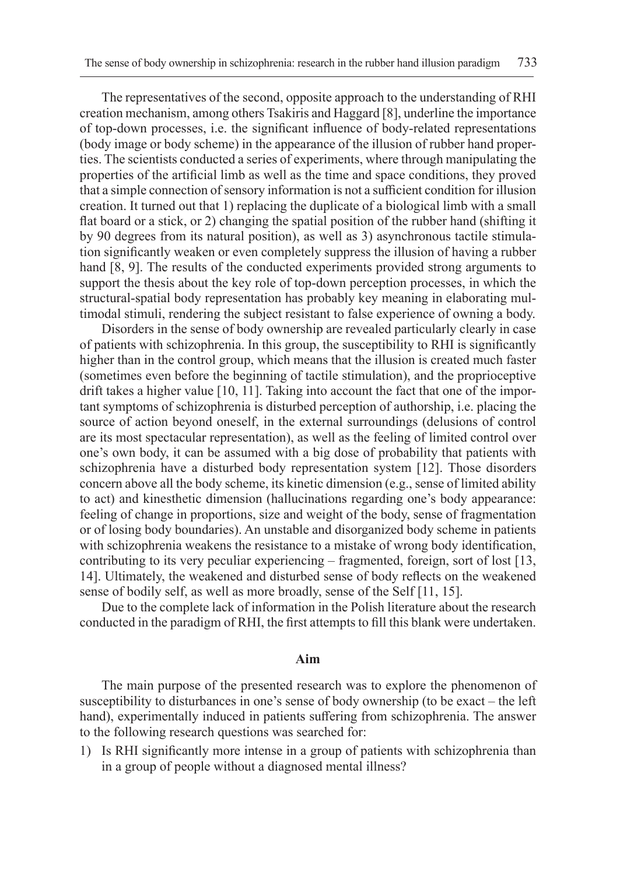The representatives of the second, opposite approach to the understanding of RHI creation mechanism, among others Tsakiris and Haggard [8], underline the importance of top-down processes, i.e. the significant influence of body-related representations (body image or body scheme) in the appearance of the illusion of rubber hand properties. The scientists conducted a series of experiments, where through manipulating the properties of the artificial limb as well as the time and space conditions, they proved that a simple connection of sensory information is not a sufficient condition for illusion creation. It turned out that 1) replacing the duplicate of a biological limb with a small flat board or a stick, or 2) changing the spatial position of the rubber hand (shifting it by 90 degrees from its natural position), as well as 3) asynchronous tactile stimulation significantly weaken or even completely suppress the illusion of having a rubber hand [8, 9]. The results of the conducted experiments provided strong arguments to support the thesis about the key role of top-down perception processes, in which the structural-spatial body representation has probably key meaning in elaborating multimodal stimuli, rendering the subject resistant to false experience of owning a body.

Disorders in the sense of body ownership are revealed particularly clearly in case of patients with schizophrenia. In this group, the susceptibility to RHI is significantly higher than in the control group, which means that the illusion is created much faster (sometimes even before the beginning of tactile stimulation), and the proprioceptive drift takes a higher value [10, 11]. Taking into account the fact that one of the important symptoms of schizophrenia is disturbed perception of authorship, i.e. placing the source of action beyond oneself, in the external surroundings (delusions of control are its most spectacular representation), as well as the feeling of limited control over one's own body, it can be assumed with a big dose of probability that patients with schizophrenia have a disturbed body representation system [12]. Those disorders concern above all the body scheme, its kinetic dimension (e.g., sense of limited ability to act) and kinesthetic dimension (hallucinations regarding one's body appearance: feeling of change in proportions, size and weight of the body, sense of fragmentation or of losing body boundaries). An unstable and disorganized body scheme in patients with schizophrenia weakens the resistance to a mistake of wrong body identification, contributing to its very peculiar experiencing – fragmented, foreign, sort of lost [13, 14]. Ultimately, the weakened and disturbed sense of body reflects on the weakened sense of bodily self, as well as more broadly, sense of the Self [11, 15].

Due to the complete lack of information in the Polish literature about the research conducted in the paradigm of RHI, the first attempts to fill this blank were undertaken.

# **Aim**

The main purpose of the presented research was to explore the phenomenon of susceptibility to disturbances in one's sense of body ownership (to be exact – the left hand), experimentally induced in patients suffering from schizophrenia. The answer to the following research questions was searched for:

1) Is RHI significantly more intense in a group of patients with schizophrenia than in a group of people without a diagnosed mental illness?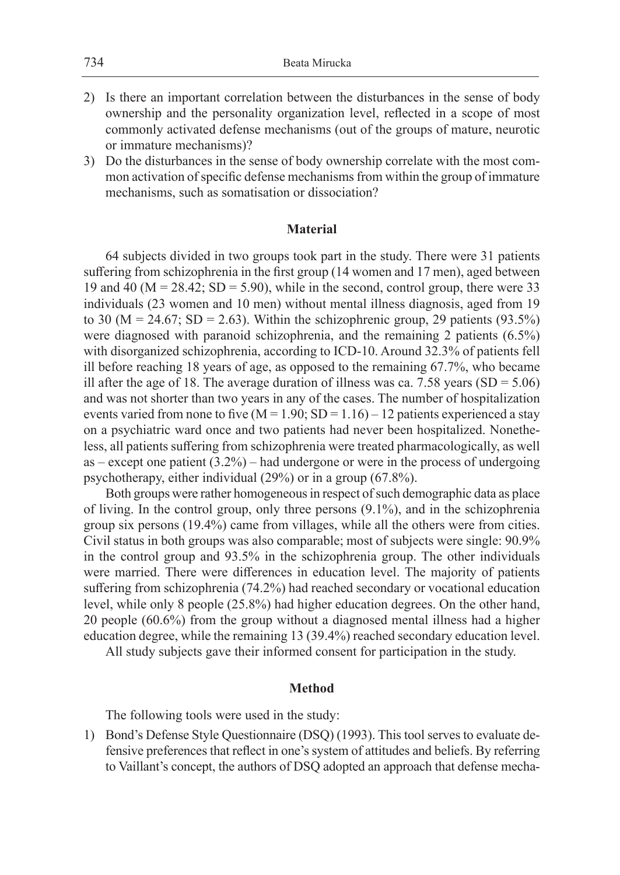- 2) Is there an important correlation between the disturbances in the sense of body ownership and the personality organization level, reflected in a scope of most commonly activated defense mechanisms (out of the groups of mature, neurotic or immature mechanisms)?
- 3) Do the disturbances in the sense of body ownership correlate with the most common activation of specific defense mechanisms from within the group of immature mechanisms, such as somatisation or dissociation?

# **Material**

64 subjects divided in two groups took part in the study. There were 31 patients suffering from schizophrenia in the first group (14 women and 17 men), aged between 19 and 40 ( $M = 28.42$ ; SD = 5.90), while in the second, control group, there were 33 individuals (23 women and 10 men) without mental illness diagnosis, aged from 19 to 30 ( $M = 24.67$ ; SD = 2.63). Within the schizophrenic group, 29 patients (93.5%) were diagnosed with paranoid schizophrenia, and the remaining 2 patients (6.5%) with disorganized schizophrenia, according to ICD-10. Around 32.3% of patients fell ill before reaching 18 years of age, as opposed to the remaining 67.7%, who became ill after the age of 18. The average duration of illness was ca. 7.58 years  $(SD = 5.06)$ and was not shorter than two years in any of the cases. The number of hospitalization events varied from none to five  $(M = 1.90; SD = 1.16) - 12$  patients experienced a stay on a psychiatric ward once and two patients had never been hospitalized. Nonetheless, all patients suffering from schizophrenia were treated pharmacologically, as well  $as - except$  one patient  $(3.2%)$  – had undergone or were in the process of undergoing psychotherapy, either individual (29%) or in a group (67.8%).

Both groups were rather homogeneous in respect of such demographic data as place of living. In the control group, only three persons (9.1%), and in the schizophrenia group six persons (19.4%) came from villages, while all the others were from cities. Civil status in both groups was also comparable; most of subjects were single: 90.9% in the control group and 93.5% in the schizophrenia group. The other individuals were married. There were differences in education level. The majority of patients suffering from schizophrenia (74.2%) had reached secondary or vocational education level, while only 8 people (25.8%) had higher education degrees. On the other hand, 20 people (60.6%) from the group without a diagnosed mental illness had a higher education degree, while the remaining 13 (39.4%) reached secondary education level.

All study subjects gave their informed consent for participation in the study.

### **Method**

The following tools were used in the study:

1) Bond's Defense Style Questionnaire (DSQ) (1993). This tool serves to evaluate defensive preferences that reflect in one's system of attitudes and beliefs. By referring to Vaillant's concept, the authors of DSQ adopted an approach that defense mecha-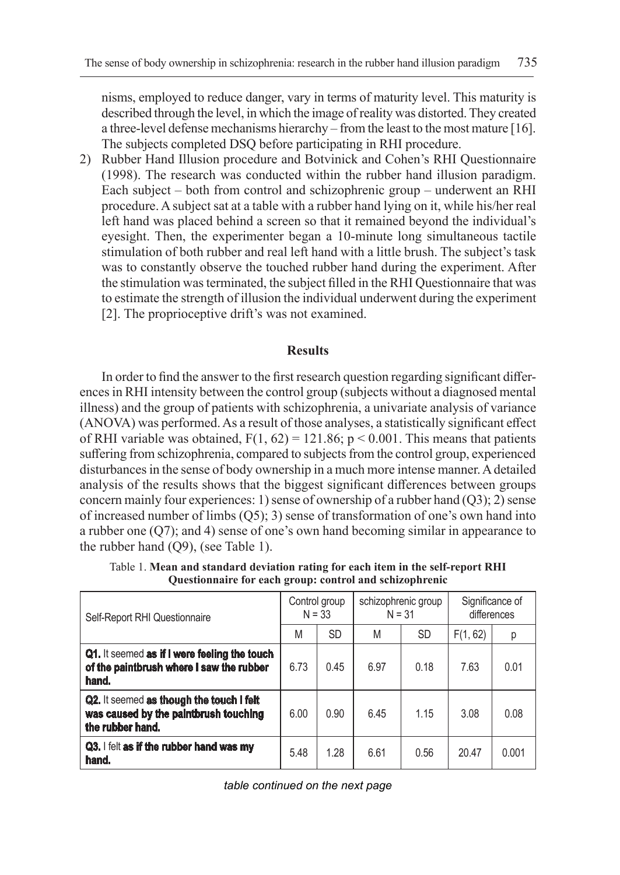nisms, employed to reduce danger, vary in terms of maturity level. This maturity is described through the level, in which the image of reality was distorted. They created a three-level defense mechanisms hierarchy – from the least to the most mature [16]. The subjects completed DSQ before participating in RHI procedure.

2) Rubber Hand Illusion procedure and Botvinick and Cohen's RHI Questionnaire (1998). The research was conducted within the rubber hand illusion paradigm. Each subject – both from control and schizophrenic group – underwent an RHI procedure. A subject sat at a table with a rubber hand lying on it, while his/her real left hand was placed behind a screen so that it remained beyond the individual's eyesight. Then, the experimenter began a 10-minute long simultaneous tactile stimulation of both rubber and real left hand with a little brush. The subject's task was to constantly observe the touched rubber hand during the experiment. After the stimulation was terminated, the subject filled in the RHI Questionnaire that was to estimate the strength of illusion the individual underwent during the experiment [2]. The proprioceptive drift's was not examined.

# **Results**

In order to find the answer to the first research question regarding significant differences in RHI intensity between the control group (subjects without a diagnosed mental illness) and the group of patients with schizophrenia, a univariate analysis of variance (ANOVA) was performed. As a result of those analyses, a statistically significant effect of RHI variable was obtained,  $F(1, 62) = 121.86$ ;  $p < 0.001$ . This means that patients suffering from schizophrenia, compared to subjects from the control group, experienced disturbances in the sense of body ownership in a much more intense manner. Adetailed analysis of the results shows that the biggest significant differences between groups concern mainly four experiences: 1) sense of ownership of a rubber hand  $(Q3)$ ; 2) sense of increased number of limbs (Q5); 3) sense of transformation of one's own hand into a rubber one (Q7); and 4) sense of one's own hand becoming similar in appearance to the rubber hand (Q9), (see Table 1).

| Self-Report RHI Questionnaire                                                                         | Control group<br>$N = 33$ |           | schizophrenic group<br>$N = 31$ |           | Significance of<br>differences |       |
|-------------------------------------------------------------------------------------------------------|---------------------------|-----------|---------------------------------|-----------|--------------------------------|-------|
|                                                                                                       | M                         | <b>SD</b> | M                               | <b>SD</b> | F(1, 62)                       | р     |
| Q1. It seemed as if I were feeling the touch<br>of the paintbrush where I saw the rubber<br>hand.     | 6.73                      | 0.45      | 6.97                            | 0.18      | 7.63                           | 0.01  |
| Q2. It seemed as though the touch I felt<br>was caused by the paintbrush touching<br>the rubber hand. | 6.00                      | 0.90      | 6.45                            | 1.15      | 3.08                           | 0.08  |
| Q3. I felt as if the rubber hand was my<br>hand.                                                      | 5.48                      | 1.28      | 6.61                            | 0.56      | 20.47                          | 0.001 |

Table 1. **Mean and standard deviation rating for each item in the self-report RHI Questionnaire for each group: control and schizophrenic**

*table continued on the next page*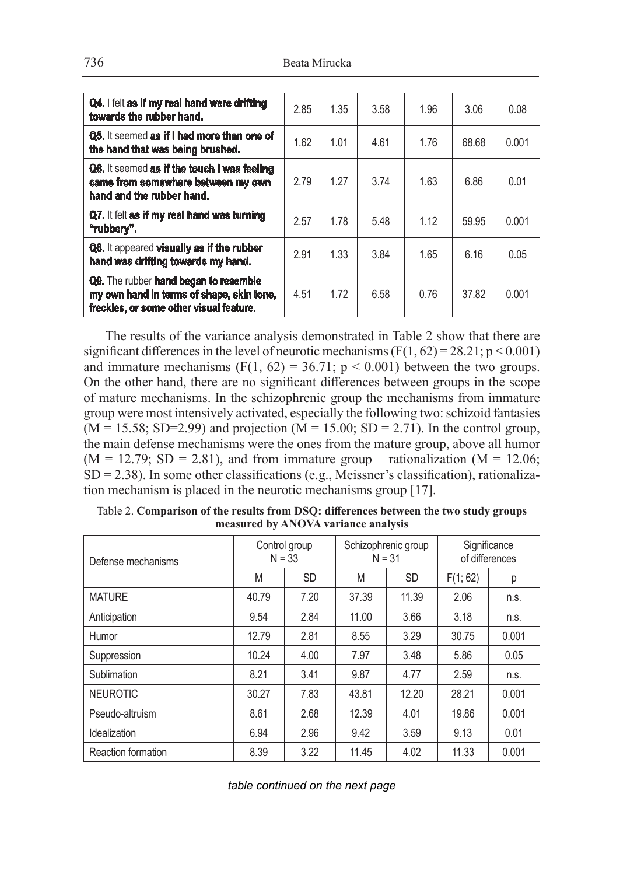| Q4. I felt as if my real hand were drifting<br>towards the rubber hand.                                                       | 2.85 | 1.35 | 3.58 | 1.96 | 3.06  | 0.08  |
|-------------------------------------------------------------------------------------------------------------------------------|------|------|------|------|-------|-------|
| Q5. It seemed as if I had more than one of<br>the hand that was being brushed.                                                | 1.62 | 1.01 | 4.61 | 1.76 | 68.68 | 0.001 |
| Q6. It seemed as if the touch I was feeling<br>came from somewhere between my own<br>hand and the rubber hand.                | 2.79 | 1.27 | 3.74 | 1.63 | 6.86  | 0.01  |
| Q7. It felt as if my real hand was turning<br>"rubbery".                                                                      | 2.57 | 1.78 | 5.48 | 1.12 | 59.95 | 0.001 |
| Q8. It appeared visually as if the rubber<br>hand was drifting towards my hand.                                               | 2.91 | 1.33 | 3.84 | 1.65 | 6.16  | 0.05  |
| Q9. The rubber hand began to resemble<br>my own hand in terms of shape, skin tone,<br>freckles, or some other visual feature. | 4.51 | 1.72 | 6.58 | 0.76 | 37.82 | 0.001 |

The results of the variance analysis demonstrated in Table 2 show that there are significant differences in the level of neurotic mechanisms  $(F(1, 62) = 28.21; p < 0.001)$ and immature mechanisms (F(1, 62) = 36.71;  $p < 0.001$ ) between the two groups. On the other hand, there are no significant differences between groups in the scope of mature mechanisms. In the schizophrenic group the mechanisms from immature group were most intensively activated, especially the following two: schizoid fantasies  $(M = 15.58; SD = 2.99)$  and projection  $(M = 15.00; SD = 2.71)$ . In the control group, the main defense mechanisms were the ones from the mature group, above all humor  $(M = 12.79; SD = 2.81)$ , and from immature group – rationalization  $(M = 12.06;$  $SD = 2.38$ ). In some other classifications (e.g., Meissner's classification), rationalization mechanism is placed in the neurotic mechanisms group [17].

| Defense mechanisms |       | Control group<br>$N = 33$ | $N = 31$ | Schizophrenic group | Significance<br>of differences |       |  |
|--------------------|-------|---------------------------|----------|---------------------|--------------------------------|-------|--|
|                    | M     | <b>SD</b>                 | M        | <b>SD</b>           | F(1; 62)                       | р     |  |
| <b>MATURE</b>      | 40.79 | 7.20                      | 37.39    | 11.39               | 2.06                           | n.s.  |  |
| Anticipation       | 9.54  | 2.84                      | 11.00    | 3.66                | 3.18                           | n.s.  |  |
| Humor              | 12.79 | 2.81                      | 8.55     | 3.29                | 30.75                          | 0.001 |  |
| Suppression        | 10.24 | 4.00                      | 7.97     | 3.48                | 5.86                           | 0.05  |  |
| Sublimation        | 8.21  | 3.41                      | 9.87     | 4.77                | 2.59                           | n.s.  |  |
| <b>NEUROTIC</b>    | 30.27 | 7.83                      | 43.81    | 12.20               | 28.21                          | 0.001 |  |
| Pseudo-altruism    | 8.61  | 2.68                      | 12.39    | 4.01                | 19.86                          | 0.001 |  |
| Idealization       | 6.94  | 2.96                      | 9.42     | 3.59                | 9.13                           | 0.01  |  |
| Reaction formation | 8.39  | 3.22                      | 11.45    | 4.02                | 11.33                          | 0.001 |  |

Table 2. **Comparison of the results from DSQ: differences between the two study groups measured by ANOVA variance analysis**

*table continued on the next page*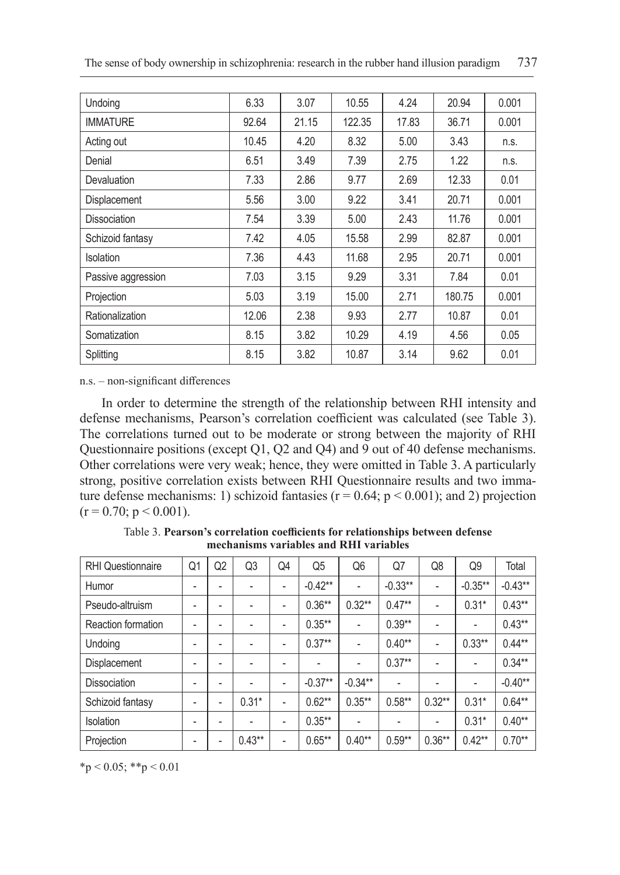| Undoing             | 6.33  | 3.07  | 10.55  | 4.24  | 20.94  | 0.001 |
|---------------------|-------|-------|--------|-------|--------|-------|
| <b>IMMATURE</b>     | 92.64 | 21.15 | 122.35 | 17.83 | 36.71  | 0.001 |
| Acting out          | 10.45 | 4.20  | 8.32   | 5.00  | 3.43   | n.s.  |
| Denial              | 6.51  | 3.49  | 7.39   | 2.75  | 1.22   | n.s.  |
| Devaluation         | 7.33  | 2.86  | 9.77   | 2.69  | 12.33  | 0.01  |
| Displacement        | 5.56  | 3.00  | 9.22   | 3.41  | 20.71  | 0.001 |
| <b>Dissociation</b> | 7.54  | 3.39  | 5.00   | 2.43  | 11.76  | 0.001 |
| Schizoid fantasy    | 7.42  | 4.05  | 15.58  | 2.99  | 82.87  | 0.001 |
| Isolation           | 7.36  | 4.43  | 11.68  | 2.95  | 20.71  | 0.001 |
| Passive aggression  | 7.03  | 3.15  | 9.29   | 3.31  | 7.84   | 0.01  |
| Projection          | 5.03  | 3.19  | 15.00  | 2.71  | 180.75 | 0.001 |
| Rationalization     | 12.06 | 2.38  | 9.93   | 2.77  | 10.87  | 0.01  |
| Somatization        | 8.15  | 3.82  | 10.29  | 4.19  | 4.56   | 0.05  |
| Splitting           | 8.15  | 3.82  | 10.87  | 3.14  | 9.62   | 0.01  |

n.s. – non-significant differences

In order to determine the strength of the relationship between RHI intensity and defense mechanisms, Pearson's correlation coefficient was calculated (see Table 3). The correlations turned out to be moderate or strong between the majority of RHI Questionnaire positions (except Q1, Q2 and Q4) and 9 out of 40 defense mechanisms. Other correlations were very weak; hence, they were omitted in Table 3. A particularly strong, positive correlation exists between RHI Questionnaire results and two immature defense mechanisms: 1) schizoid fantasies ( $r = 0.64$ ;  $p < 0.001$ ); and 2) projection  $(r = 0.70; p \le 0.001)$ .

| <b>RHI</b> Questionnaire | Q1 | Q2 | Q3       | Q4 | Q <sub>5</sub> | Q6                       | Q7        | Q8                       | Q9         | Total     |
|--------------------------|----|----|----------|----|----------------|--------------------------|-----------|--------------------------|------------|-----------|
| Humor                    | ۰  | ۰  |          | ٠  | $-0.42**$      | $\overline{\phantom{a}}$ | $-0.33**$ | $\overline{\phantom{a}}$ | $-0.35***$ | $-0.43**$ |
| Pseudo-altruism          | -  |    |          | -  | $0.36**$       | $0.32***$                | $0.47**$  | ٠                        | $0.31*$    | $0.43***$ |
| Reaction formation       | ٠  | ۰  |          | ٠  | $0.35***$      |                          | $0.39**$  |                          |            | $0.43**$  |
| Undoing                  | -  | ۰  |          | ٠  | $0.37**$       | $\overline{\phantom{a}}$ | $0.40**$  | $\overline{\phantom{a}}$ | $0.33**$   | $0.44***$ |
| Displacement             | ۰  | ۰  |          | -  | ۰              | $\overline{\phantom{a}}$ | $0.37***$ | $\overline{\phantom{a}}$ |            | $0.34***$ |
| <b>Dissociation</b>      | ٠  | ۰  |          | ٠  | $-0.37**$      | $-0.34***$               | ٠         | ۰                        | -          | $-0.40**$ |
| Schizoid fantasy         | ٠  | ۰  | $0.31*$  | ٠  | $0.62**$       | $0.35***$                | $0.58***$ | $0.32**$                 | $0.31*$    | $0.64***$ |
| <b>Isolation</b>         | ٠  | ۰  |          | -  | $0.35***$      |                          |           | $\overline{\phantom{a}}$ | $0.31*$    | $0.40**$  |
| Projection               | ٠  |    | $0.43**$ | ٠  | $0.65***$      | $0.40**$                 | $0.59**$  | $0.36**$                 | $0.42**$   | $0.70**$  |

Table 3. **Pearson's correlation coefficients for relationships between defense mechanisms variables and RHI variables**

 $*$ p < 0.05;  $*$  $*$ p < 0.01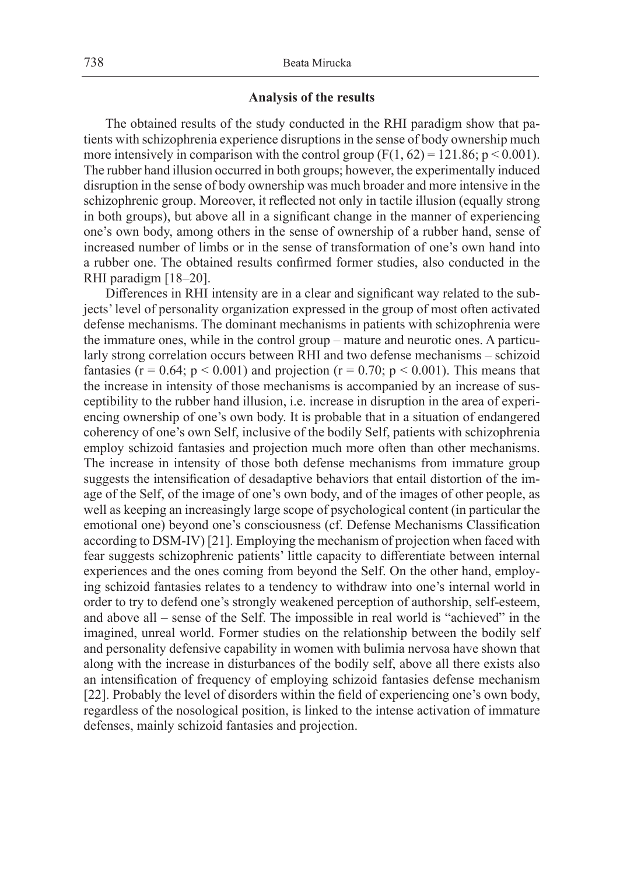# **Analysis of the results**

The obtained results of the study conducted in the RHI paradigm show that patients with schizophrenia experience disruptions in the sense of body ownership much more intensively in comparison with the control group  $(F(1, 62) = 121.86; p \le 0.001)$ . The rubber hand illusion occurred in both groups; however, the experimentally induced disruption in the sense of body ownership was much broader and more intensive in the schizophrenic group. Moreover, it reflected not only in tactile illusion (equally strong in both groups), but above all in a significant change in the manner of experiencing one's own body, among others in the sense of ownership of a rubber hand, sense of increased number of limbs or in the sense of transformation of one's own hand into a rubber one. The obtained results confirmed former studies, also conducted in the RHI paradigm [18–20].

Differences in RHI intensity are in a clear and significant way related to the subjects' level of personality organization expressed in the group of most often activated defense mechanisms. The dominant mechanisms in patients with schizophrenia were the immature ones, while in the control group – mature and neurotic ones. A particularly strong correlation occurs between RHI and two defense mechanisms – schizoid fantasies ( $r = 0.64$ ;  $p < 0.001$ ) and projection ( $r = 0.70$ ;  $p < 0.001$ ). This means that the increase in intensity of those mechanisms is accompanied by an increase of susceptibility to the rubber hand illusion, i.e. increase in disruption in the area of experiencing ownership of one's own body. It is probable that in a situation of endangered coherency of one's own Self, inclusive of the bodily Self, patients with schizophrenia employ schizoid fantasies and projection much more often than other mechanisms. The increase in intensity of those both defense mechanisms from immature group suggests the intensification of desadaptive behaviors that entail distortion of the image of the Self, of the image of one's own body, and of the images of other people, as well as keeping an increasingly large scope of psychological content (in particular the emotional one) beyond one's consciousness (cf. Defense Mechanisms Classification according to DSM-IV) [21]. Employing the mechanism of projection when faced with fear suggests schizophrenic patients' little capacity to differentiate between internal experiences and the ones coming from beyond the Self. On the other hand, employing schizoid fantasies relates to a tendency to withdraw into one's internal world in order to try to defend one's strongly weakened perception of authorship, self-esteem, and above all – sense of the Self. The impossible in real world is "achieved" in the imagined, unreal world. Former studies on the relationship between the bodily self and personality defensive capability in women with bulimia nervosa have shown that along with the increase in disturbances of the bodily self, above all there exists also an intensification of frequency of employing schizoid fantasies defense mechanism [22]. Probably the level of disorders within the field of experiencing one's own body, regardless of the nosological position, is linked to the intense activation of immature defenses, mainly schizoid fantasies and projection.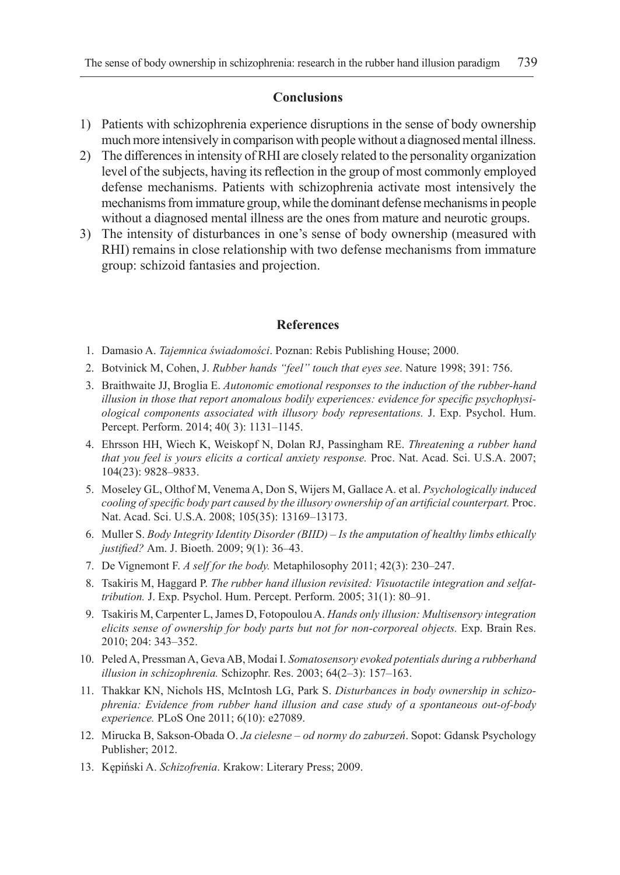# **Conclusions**

- 1) Patients with schizophrenia experience disruptions in the sense of body ownership much more intensively in comparison with people without a diagnosed mental illness.
- 2) The differences in intensity of RHI are closely related to the personality organization level of the subjects, having its reflection in the group of most commonly employed defense mechanisms. Patients with schizophrenia activate most intensively the mechanisms from immature group, while the dominant defense mechanisms in people without a diagnosed mental illness are the ones from mature and neurotic groups.
- 3) The intensity of disturbances in one's sense of body ownership (measured with RHI) remains in close relationship with two defense mechanisms from immature group: schizoid fantasies and projection.

## **References**

- 1. Damasio A. *Tajemnica świadomości*. Poznan: Rebis Publishing House; 2000.
- 2. Botvinick M, Cohen, J. *Rubber hands "feel" touch that eyes see*. Nature 1998; 391: 756.
- 3. Braithwaite JJ, Broglia E. *Autonomic emotional responses to the induction of the rubber-hand illusion in those that report anomalous bodily experiences: evidence for specific psychophysiological components associated with illusory body representations.* J. Exp. Psychol. Hum. Percept. Perform. 2014; 40( 3): 1131–1145.
- 4. Ehrsson HH, Wiech K, Weiskopf N, Dolan RJ, Passingham RE. *Threatening a rubber hand that you feel is yours elicits a cortical anxiety response.* Proc. Nat. Acad. Sci. U.S.A. 2007; 104(23): 9828–9833.
- 5. Moseley GL, Olthof M, Venema A, Don S, Wijers M, Gallace A. et al. *Psychologically induced cooling of specific body part caused by the illusory ownership of an artificial counterpart.* Proc. Nat. Acad. Sci. U.S.A. 2008; 105(35): 13169–13173.
- 6. Muller S. *Body Integrity Identity Disorder (BIID) Is the amputation of healthy limbs ethically justified?* Am. J. Bioeth. 2009; 9(1): 36–43.
- 7. De Vignemont F. *A self for the body.* Metaphilosophy 2011; 42(3): 230–247.
- 8. Tsakiris M, Haggard P. *The rubber hand illusion revisited: Visuotactile integration and selfattribution.* J. Exp. Psychol. Hum. Percept. Perform. 2005; 31(1): 80–91.
- 9. Tsakiris M, Carpenter L, James D, Fotopoulou A. *Hands only illusion: Multisensory integration elicits sense of ownership for body parts but not for non-corporeal objects.* Exp. Brain Res. 2010; 204: 343–352.
- 10. Peled A, Pressman A, Geva AB, Modai I. *Somatosensory evoked potentials during a rubberhand illusion in schizophrenia.* Schizophr. Res. 2003; 64(2–3): 157–163.
- 11. Thakkar KN, Nichols HS, McIntosh LG, Park S. *Disturbances in body ownership in schizophrenia: Evidence from rubber hand illusion and case study of a spontaneous out-of-body experience.* PLoS One 2011; 6(10): e27089.
- 12. Mirucka B, Sakson-Obada O. *Ja cielesne od normy do zaburzeń*. Sopot: Gdansk Psychology Publisher; 2012.
- 13. Kępiński A. *Schizofrenia*. Krakow: Literary Press; 2009.